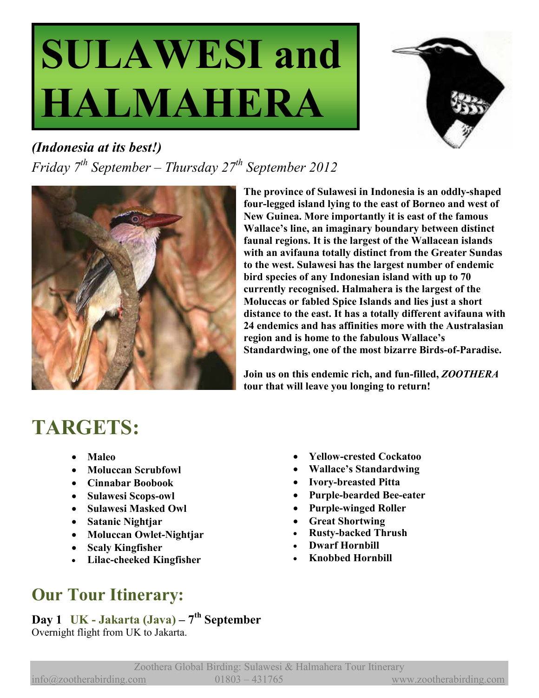# **SULAWESI and HALMAHERA**



*(Indonesia at its best!) Friday 7th September – Thursday 27th September 2012* 



**The province of Sulawesi in Indonesia is an oddly-shaped four-legged island lying to the east of Borneo and west of New Guinea. More importantly it is east of the famous Wallace's line, an imaginary boundary between distinct faunal regions. It is the largest of the Wallacean islands with an avifauna totally distinct from the Greater Sundas to the west. Sulawesi has the largest number of endemic bird species of any Indonesian island with up to 70 currently recognised. Halmahera is the largest of the Moluccas or fabled Spice Islands and lies just a short distance to the east. It has a totally different avifauna with 24 endemics and has affinities more with the Australasian region and is home to the fabulous Wallace's Standardwing, one of the most bizarre Birds-of-Paradise.** 

**Join us on this endemic rich, and fun-filled,** *ZOOTHERA*  **tour that will leave you longing to return!** 

# **TARGETS:**

- **Maleo**
- **Moluccan Scrubfowl**
- **Cinnabar Boobook**
- **Sulawesi Scops-owl**
- **Sulawesi Masked Owl**
- **Satanic Nightjar**
- **Moluccan Owlet-Nightjar**
- **Scaly Kingfisher**
- **Lilac-cheeked Kingfisher**
- **Yellow-crested Cockatoo**
- **Wallace's Standardwing**
- **Ivory-breasted Pitta**
- **Purple-bearded Bee-eater**
- **Purple-winged Roller**
- **Great Shortwing**
- **Rusty-backed Thrush**
- **Dwarf Hornbill**
- **Knobbed Hornbill**

# **Our Tour Itinerary:**

**Day 1 UK - Jakarta (Java) – 7th September** Overnight flight from UK to Jakarta.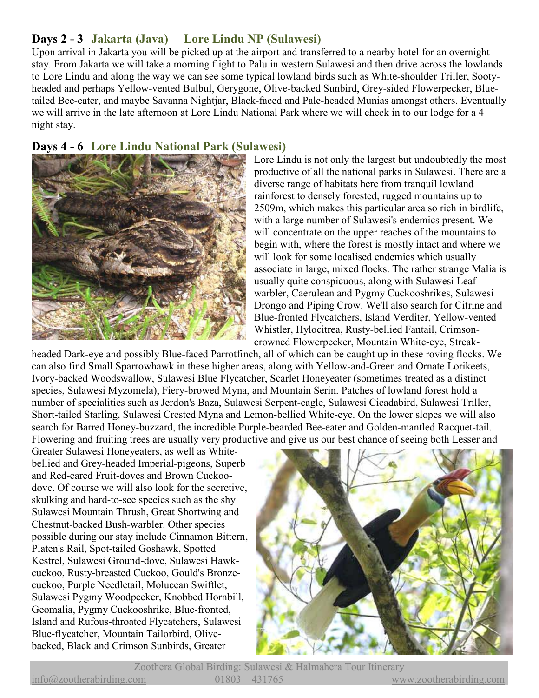# **Days 2 - 3 Jakarta (Java) – Lore Lindu NP (Sulawesi)**

Upon arrival in Jakarta you will be picked up at the airport and transferred to a nearby hotel for an overnight stay. From Jakarta we will take a morning flight to Palu in western Sulawesi and then drive across the lowlands to Lore Lindu and along the way we can see some typical lowland birds such as White-shoulder Triller, Sootyheaded and perhaps Yellow-vented Bulbul, Gerygone, Olive-backed Sunbird, Grey-sided Flowerpecker, Bluetailed Bee-eater, and maybe Savanna Nightjar, Black-faced and Pale-headed Munias amongst others. Eventually we will arrive in the late afternoon at Lore Lindu National Park where we will check in to our lodge for a 4 night stay.

## **Days 4 - 6 Lore Lindu National Park (Sulawesi)**



Lore Lindu is not only the largest but undoubtedly the most productive of all the national parks in Sulawesi. There are a diverse range of habitats here from tranquil lowland rainforest to densely forested, rugged mountains up to 2509m, which makes this particular area so rich in birdlife, with a large number of Sulawesi's endemics present. We will concentrate on the upper reaches of the mountains to begin with, where the forest is mostly intact and where we will look for some localised endemics which usually associate in large, mixed flocks. The rather strange Malia is usually quite conspicuous, along with Sulawesi Leafwarbler, Caerulean and Pygmy Cuckooshrikes, Sulawesi Drongo and Piping Crow. We'll also search for Citrine and Blue-fronted Flycatchers, Island Verditer, Yellow-vented Whistler, Hylocitrea, Rusty-bellied Fantail, Crimsoncrowned Flowerpecker, Mountain White-eye, Streak-

headed Dark-eye and possibly Blue-faced Parrotfinch, all of which can be caught up in these roving flocks. We can also find Small Sparrowhawk in these higher areas, along with Yellow-and-Green and Ornate Lorikeets, Ivory-backed Woodswallow, Sulawesi Blue Flycatcher, Scarlet Honeyeater (sometimes treated as a distinct species, Sulawesi Myzomela), Fiery-browed Myna, and Mountain Serin. Patches of lowland forest hold a number of specialities such as Jerdon's Baza, Sulawesi Serpent-eagle, Sulawesi Cicadabird, Sulawesi Triller, Short-tailed Starling, Sulawesi Crested Myna and Lemon-bellied White-eye. On the lower slopes we will also search for Barred Honey-buzzard, the incredible Purple-bearded Bee-eater and Golden-mantled Racquet-tail. Flowering and fruiting trees are usually very productive and give us our best chance of seeing both Lesser and

Greater Sulawesi Honeyeaters, as well as Whitebellied and Grey-headed Imperial-pigeons, Superb and Red-eared Fruit-doves and Brown Cuckoodove. Of course we will also look for the secretive, skulking and hard-to-see species such as the shy Sulawesi Mountain Thrush, Great Shortwing and Chestnut-backed Bush-warbler. Other species possible during our stay include Cinnamon Bittern, Platen's Rail, Spot-tailed Goshawk, Spotted Kestrel, Sulawesi Ground-dove, Sulawesi Hawkcuckoo, Rusty-breasted Cuckoo, Gould's Bronzecuckoo, Purple Needletail, Moluccan Swiftlet, Sulawesi Pygmy Woodpecker, Knobbed Hornbill, Geomalia, Pygmy Cuckooshrike, Blue-fronted, Island and Rufous-throated Flycatchers, Sulawesi Blue-flycatcher, Mountain Tailorbird, Olivebacked, Black and Crimson Sunbirds, Greater



Zoothera Global Birding: Sulawesi & Halmahera Tour Itinerary info@zootherabirding.com 01803 – 431765 www.zootherabirding.com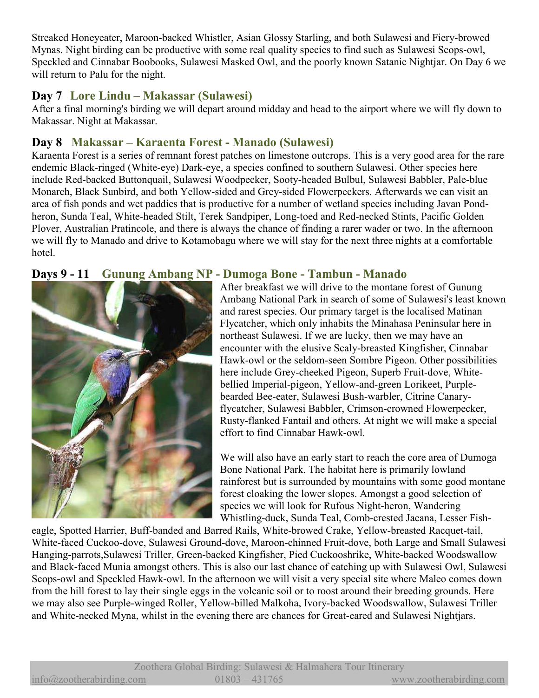Streaked Honeyeater, Maroon-backed Whistler, Asian Glossy Starling, and both Sulawesi and Fiery-browed Mynas. Night birding can be productive with some real quality species to find such as Sulawesi Scops-owl, Speckled and Cinnabar Boobooks, Sulawesi Masked Owl, and the poorly known Satanic Nightjar. On Day 6 we will return to Palu for the night.

# **Day 7 Lore Lindu – Makassar (Sulawesi)**

After a final morning's birding we will depart around midday and head to the airport where we will fly down to Makassar. Night at Makassar.

# **Day 8 Makassar – Karaenta Forest - Manado (Sulawesi)**

Karaenta Forest is a series of remnant forest patches on limestone outcrops. This is a very good area for the rare endemic Black-ringed (White-eye) Dark-eye, a species confined to southern Sulawesi. Other species here include Red-backed Buttonquail, Sulawesi Woodpecker, Sooty-headed Bulbul, Sulawesi Babbler, Pale-blue Monarch, Black Sunbird, and both Yellow-sided and Grey-sided Flowerpeckers. Afterwards we can visit an area of fish ponds and wet paddies that is productive for a number of wetland species including Javan Pondheron, Sunda Teal, White-headed Stilt, Terek Sandpiper, Long-toed and Red-necked Stints, Pacific Golden Plover, Australian Pratincole, and there is always the chance of finding a rarer wader or two. In the afternoon we will fly to Manado and drive to Kotamobagu where we will stay for the next three nights at a comfortable hotel.

### **Days 9 - 11 Gunung Ambang NP - Dumoga Bone - Tambun - Manado**



#### After breakfast we will drive to the montane forest of Gunung Ambang National Park in search of some of Sulawesi's least known and rarest species. Our primary target is the localised Matinan Flycatcher, which only inhabits the Minahasa Peninsular here in northeast Sulawesi. If we are lucky, then we may have an encounter with the elusive Scaly-breasted Kingfisher, Cinnabar Hawk-owl or the seldom-seen Sombre Pigeon. Other possibilities here include Grey-cheeked Pigeon, Superb Fruit-dove, Whitebellied Imperial-pigeon, Yellow-and-green Lorikeet, Purplebearded Bee-eater, Sulawesi Bush-warbler, Citrine Canaryflycatcher, Sulawesi Babbler, Crimson-crowned Flowerpecker, Rusty-flanked Fantail and others. At night we will make a special

We will also have an early start to reach the core area of Dumoga Bone National Park. The habitat here is primarily lowland rainforest but is surrounded by mountains with some good montane forest cloaking the lower slopes. Amongst a good selection of species we will look for Rufous Night-heron, Wandering Whistling-duck, Sunda Teal, Comb-crested Jacana, Lesser Fish-

eagle, Spotted Harrier, Buff-banded and Barred Rails, White-browed Crake, Yellow-breasted Racquet-tail, White-faced Cuckoo-dove, Sulawesi Ground-dove, Maroon-chinned Fruit-dove, both Large and Small Sulawesi Hanging-parrots,Sulawesi Triller, Green-backed Kingfisher, Pied Cuckooshrike, White-backed Woodswallow and Black-faced Munia amongst others. This is also our last chance of catching up with Sulawesi Owl, Sulawesi Scops-owl and Speckled Hawk-owl. In the afternoon we will visit a very special site where Maleo comes down from the hill forest to lay their single eggs in the volcanic soil or to roost around their breeding grounds. Here we may also see Purple-winged Roller, Yellow-billed Malkoha, Ivory-backed Woodswallow, Sulawesi Triller and White-necked Myna, whilst in the evening there are chances for Great-eared and Sulawesi Nightjars.

effort to find Cinnabar Hawk-owl.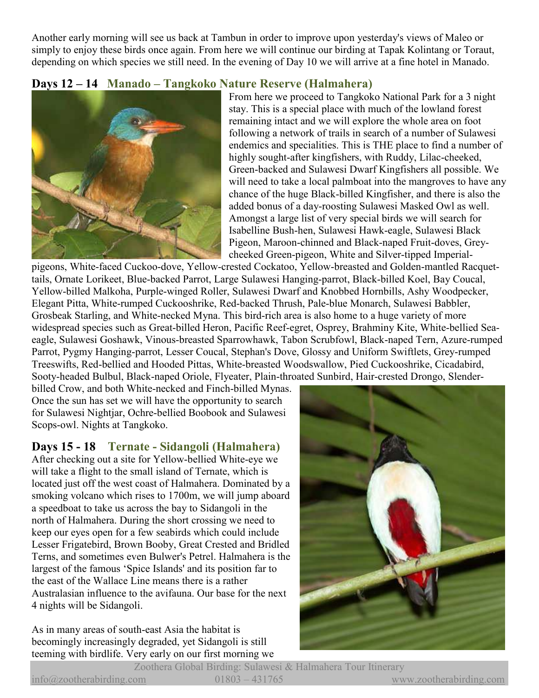Another early morning will see us back at Tambun in order to improve upon yesterday's views of Maleo or simply to enjoy these birds once again. From here we will continue our birding at Tapak Kolintang or Toraut, depending on which species we still need. In the evening of Day 10 we will arrive at a fine hotel in Manado.

# **Days 12 – 14 Manado – Tangkoko Nature Reserve (Halmahera)**



From here we proceed to Tangkoko National Park for a 3 night stay. This is a special place with much of the lowland forest remaining intact and we will explore the whole area on foot following a network of trails in search of a number of Sulawesi endemics and specialities. This is THE place to find a number of highly sought-after kingfishers, with Ruddy, Lilac-cheeked, Green-backed and Sulawesi Dwarf Kingfishers all possible. We will need to take a local palmboat into the mangroves to have any chance of the huge Black-billed Kingfisher, and there is also the added bonus of a day-roosting Sulawesi Masked Owl as well. Amongst a large list of very special birds we will search for Isabelline Bush-hen, Sulawesi Hawk-eagle, Sulawesi Black Pigeon, Maroon-chinned and Black-naped Fruit-doves, Greycheeked Green-pigeon, White and Silver-tipped Imperial-

pigeons, White-faced Cuckoo-dove, Yellow-crested Cockatoo, Yellow-breasted and Golden-mantled Racquettails, Ornate Lorikeet, Blue-backed Parrot, Large Sulawesi Hanging-parrot, Black-billed Koel, Bay Coucal, Yellow-billed Malkoha, Purple-winged Roller, Sulawesi Dwarf and Knobbed Hornbills, Ashy Woodpecker, Elegant Pitta, White-rumped Cuckooshrike, Red-backed Thrush, Pale-blue Monarch, Sulawesi Babbler, Grosbeak Starling, and White-necked Myna. This bird-rich area is also home to a huge variety of more widespread species such as Great-billed Heron, Pacific Reef-egret, Osprey, Brahminy Kite, White-bellied Seaeagle, Sulawesi Goshawk, Vinous-breasted Sparrowhawk, Tabon Scrubfowl, Black-naped Tern, Azure-rumped Parrot, Pygmy Hanging-parrot, Lesser Coucal, Stephan's Dove, Glossy and Uniform Swiftlets, Grey-rumped Treeswifts, Red-bellied and Hooded Pittas, White-breasted Woodswallow, Pied Cuckooshrike, Cicadabird, Sooty-headed Bulbul, Black-naped Oriole, Flyeater, Plain-throated Sunbird, Hair-crested Drongo, Slender-

billed Crow, and both White-necked and Finch-billed Mynas. Once the sun has set we will have the opportunity to search for Sulawesi Nightjar, Ochre-bellied Boobook and Sulawesi Scops-owl. Nights at Tangkoko.

# **Days 15 - 18 Ternate - Sidangoli (Halmahera)**

After checking out a site for Yellow-bellied White-eye we will take a flight to the small island of Ternate, which is located just off the west coast of Halmahera. Dominated by a smoking volcano which rises to 1700m, we will jump aboard a speedboat to take us across the bay to Sidangoli in the north of Halmahera. During the short crossing we need to keep our eyes open for a few seabirds which could include Lesser Frigatebird, Brown Booby, Great Crested and Bridled Terns, and sometimes even Bulwer's Petrel. Halmahera is the largest of the famous 'Spice Islands' and its position far to the east of the Wallace Line means there is a rather Australasian influence to the avifauna. Our base for the next 4 nights will be Sidangoli.

As in many areas of south-east Asia the habitat is becomingly increasingly degraded, yet Sidangoli is still teeming with birdlife. Very early on our first morning we

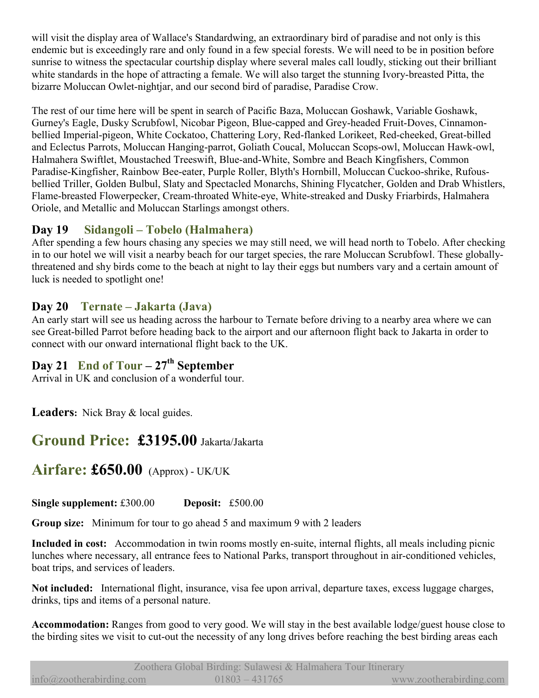will visit the display area of Wallace's Standardwing, an extraordinary bird of paradise and not only is this endemic but is exceedingly rare and only found in a few special forests. We will need to be in position before sunrise to witness the spectacular courtship display where several males call loudly, sticking out their brilliant white standards in the hope of attracting a female. We will also target the stunning Ivory-breasted Pitta, the bizarre Moluccan Owlet-nightjar, and our second bird of paradise, Paradise Crow.

The rest of our time here will be spent in search of Pacific Baza, Moluccan Goshawk, Variable Goshawk, Gurney's Eagle, Dusky Scrubfowl, Nicobar Pigeon, Blue-capped and Grey-headed Fruit-Doves, Cinnamonbellied Imperial-pigeon, White Cockatoo, Chattering Lory, Red-flanked Lorikeet, Red-cheeked, Great-billed and Eclectus Parrots, Moluccan Hanging-parrot, Goliath Coucal, Moluccan Scops-owl, Moluccan Hawk-owl, Halmahera Swiftlet, Moustached Treeswift, Blue-and-White, Sombre and Beach Kingfishers, Common Paradise-Kingfisher, Rainbow Bee-eater, Purple Roller, Blyth's Hornbill, Moluccan Cuckoo-shrike, Rufousbellied Triller, Golden Bulbul, Slaty and Spectacled Monarchs, Shining Flycatcher, Golden and Drab Whistlers, Flame-breasted Flowerpecker, Cream-throated White-eye, White-streaked and Dusky Friarbirds, Halmahera Oriole, and Metallic and Moluccan Starlings amongst others.

# **Day 19 Sidangoli – Tobelo (Halmahera)**

After spending a few hours chasing any species we may still need, we will head north to Tobelo. After checking in to our hotel we will visit a nearby beach for our target species, the rare Moluccan Scrubfowl. These globallythreatened and shy birds come to the beach at night to lay their eggs but numbers vary and a certain amount of luck is needed to spotlight one!

# **Day 20 Ternate – Jakarta (Java)**

An early start will see us heading across the harbour to Ternate before driving to a nearby area where we can see Great-billed Parrot before heading back to the airport and our afternoon flight back to Jakarta in order to connect with our onward international flight back to the UK.

# **Day 21 End of Tour – 27th September**

Arrival in UK and conclusion of a wonderful tour.

**Leaders:** Nick Bray & local guides.

# **Ground Price: £3195.00** Jakarta/Jakarta

# **Airfare: £650.00** (Approx) - UK/UK

**Single supplement:** £300.00 **Deposit:** £500.00

**Group size:** Minimum for tour to go ahead 5 and maximum 9 with 2 leaders

**Included in cost:** Accommodation in twin rooms mostly en-suite, internal flights, all meals including picnic lunches where necessary, all entrance fees to National Parks, transport throughout in air-conditioned vehicles, boat trips, and services of leaders.

**Not included:** International flight, insurance, visa fee upon arrival, departure taxes, excess luggage charges, drinks, tips and items of a personal nature.

**Accommodation:** Ranges from good to very good. We will stay in the best available lodge/guest house close to the birding sites we visit to cut-out the necessity of any long drives before reaching the best birding areas each